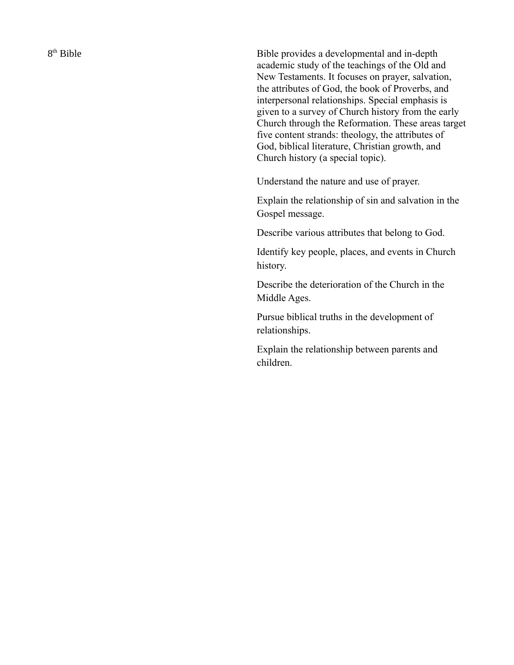8<sup>th</sup> Bible

Bible provides a developmental and in-depth academic study of the teachings of the Old and New Testaments. It focuses on prayer, salvation, the attributes of God, the book of Proverbs, and interpersonal relationships. Special emphasis is given to a survey of Church history from the early Church through the Reformation. These areas target five content strands: theology, the attributes of God, biblical literature, Christian growth, and Church history (a special topic).

Understand the nature and use of prayer.

Explain the relationship of sin and salvation in the Gospel message.

Describe various attributes that belong to God.

Identify key people, places, and events in Church history.

Describe the deterioration of the Church in the Middle Ages.

Pursue biblical truths in the development of relationships.

Explain the relationship between parents and children.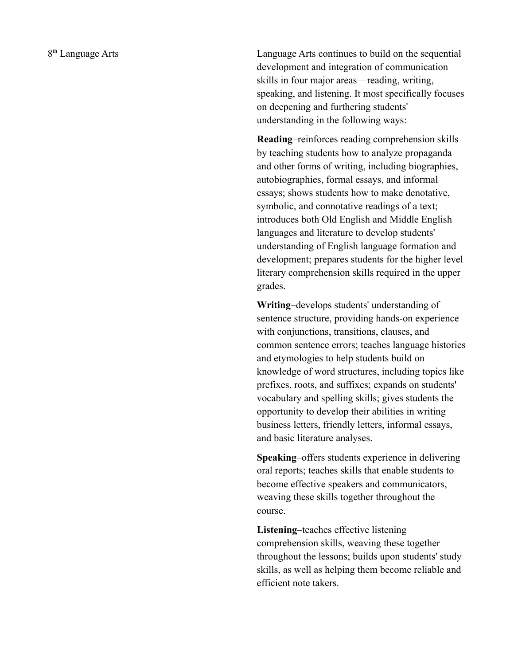Language Arts continues to build on the sequential development and integration of communication skills in four major areas—reading, writing, speaking, and listening. It most specifically focuses on deepening and furthering students' understanding in the following ways:

**Reading**–reinforces reading comprehension skills by teaching students how to analyze propaganda and other forms of writing, including biographies, autobiographies, formal essays, and informal essays; shows students how to make denotative, symbolic, and connotative readings of a text; introduces both Old English and Middle English languages and literature to develop students' understanding of English language formation and development; prepares students for the higher level literary comprehension skills required in the upper grades.

**Writing**–develops students' understanding of sentence structure, providing hands-on experience with conjunctions, transitions, clauses, and common sentence errors; teaches language histories and etymologies to help students build on knowledge of word structures, including topics like prefixes, roots, and suffixes; expands on students' vocabulary and spelling skills; gives students the opportunity to develop their abilities in writing business letters, friendly letters, informal essays, and basic literature analyses.

**Speaking**–offers students experience in delivering oral reports; teaches skills that enable students to become effective speakers and communicators, weaving these skills together throughout the course.

**Listening**–teaches effective listening comprehension skills, weaving these together throughout the lessons; builds upon students' study skills, as well as helping them become reliable and efficient note takers.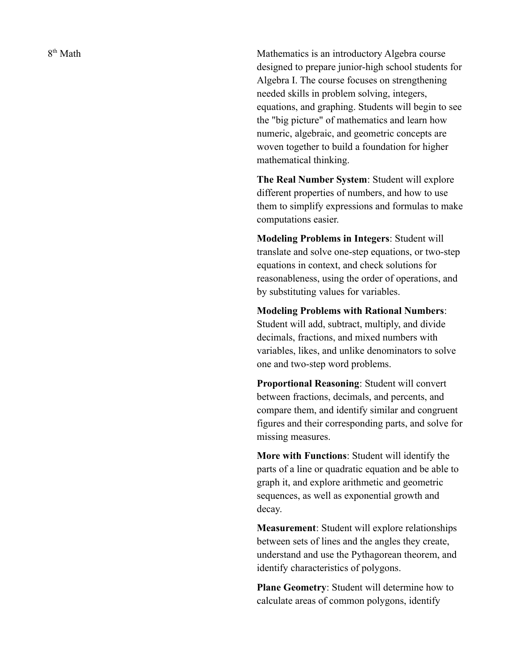8<sup>th</sup> Math

Mathematics is an introductory Algebra course designed to prepare junior-high school students for Algebra I. The course focuses on strengthening needed skills in problem solving, integers, equations, and graphing. Students will begin to see the "big picture" of mathematics and learn how numeric, algebraic, and geometric concepts are woven together to build a foundation for higher mathematical thinking.

**The Real Number System**: Student will explore different properties of numbers, and how to use them to simplify expressions and formulas to make computations easier.

**Modeling Problems in Integers**: Student will translate and solve one-step equations, or two-step equations in context, and check solutions for reasonableness, using the order of operations, and by substituting values for variables.

**Modeling Problems with Rational Numbers**: Student will add, subtract, multiply, and divide decimals, fractions, and mixed numbers with variables, likes, and unlike denominators to solve one and two-step word problems.

**Proportional Reasoning**: Student will convert between fractions, decimals, and percents, and compare them, and identify similar and congruent figures and their corresponding parts, and solve for missing measures.

**More with Functions**: Student will identify the parts of a line or quadratic equation and be able to graph it, and explore arithmetic and geometric sequences, as well as exponential growth and decay.

**Measurement**: Student will explore relationships between sets of lines and the angles they create, understand and use the Pythagorean theorem, and identify characteristics of polygons.

**Plane Geometry**: Student will determine how to calculate areas of common polygons, identify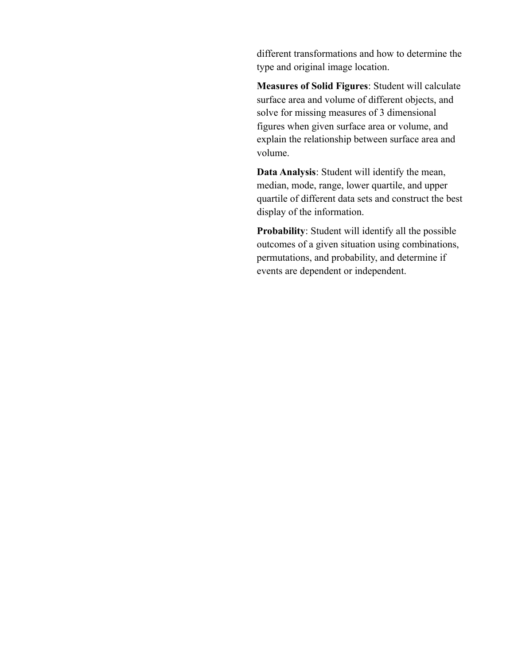different transformations and how to determine the type and original image location.

**Measures of Solid Figures**: Student will calculate surface area and volume of different objects, and solve for missing measures of 3 dimensional figures when given surface area or volume, and explain the relationship between surface area and volume.

**Data Analysis**: Student will identify the mean, median, mode, range, lower quartile, and upper quartile of different data sets and construct the best display of the information.

**Probability**: Student will identify all the possible outcomes of a given situation using combinations, permutations, and probability, and determine if events are dependent or independent.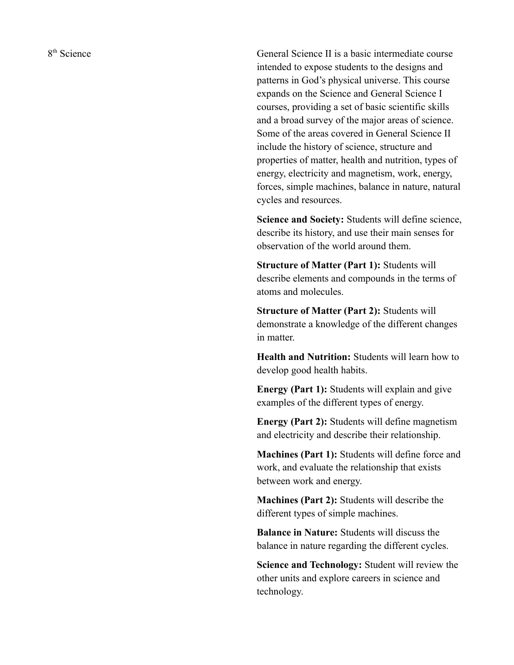8<sup>th</sup> Science

General Science II is a basic intermediate course intended to expose students to the designs and patterns in God's physical universe. This course expands on the Science and General Science I courses, providing a set of basic scientific skills and a broad survey of the major areas of science. Some of the areas covered in General Science II include the history of science, structure and properties of matter, health and nutrition, types of energy, electricity and magnetism, work, energy, forces, simple machines, balance in nature, natural cycles and resources.

**Science and Society:** Students will define science, describe its history, and use their main senses for observation of the world around them.

**Structure of Matter (Part 1):** Students will describe elements and compounds in the terms of atoms and molecules.

**Structure of Matter (Part 2):** Students will demonstrate a knowledge of the different changes in matter.

**Health and Nutrition:** Students will learn how to develop good health habits.

**Energy (Part 1):** Students will explain and give examples of the different types of energy.

**Energy (Part 2):** Students will define magnetism and electricity and describe their relationship.

**Machines (Part 1):** Students will define force and work, and evaluate the relationship that exists between work and energy.

**Machines (Part 2):** Students will describe the different types of simple machines.

**Balance in Nature:** Students will discuss the balance in nature regarding the different cycles.

**Science and Technology:** Student will review the other units and explore careers in science and technology.